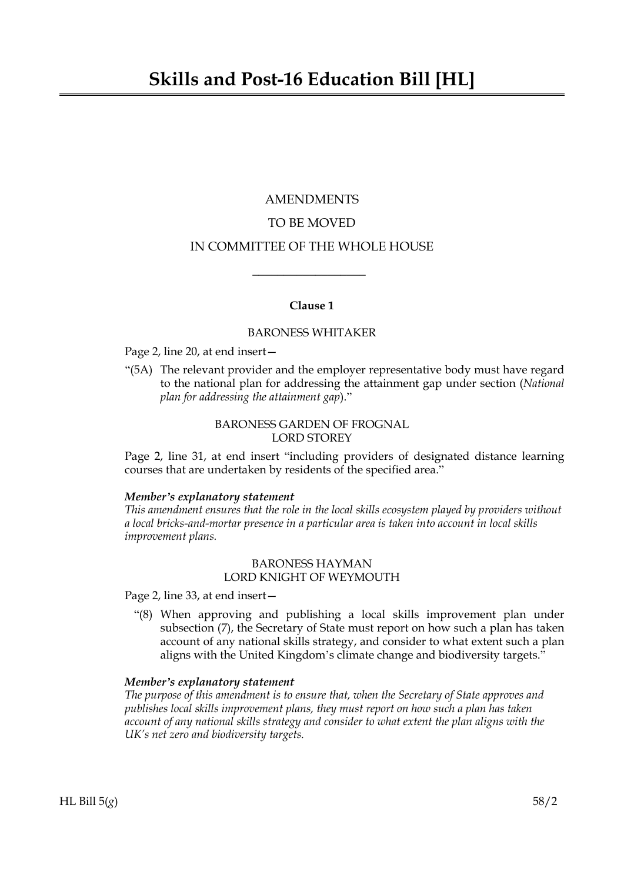# AMENDMENTS TO BE MOVED IN COMMITTEE OF THE WHOLE HOUSE

## **Clause 1**

 $\overline{\phantom{a}}$  , where  $\overline{\phantom{a}}$ 

#### BARONESS WHITAKER

#### Page 2, line 20, at end insert—

"(5A) The relevant provider and the employer representative body must have regard to the national plan for addressing the attainment gap under section (*National plan for addressing the attainment gap*)."

# BARONESS GARDEN OF FROGNAL LORD STOREY

Page 2, line 31, at end insert "including providers of designated distance learning courses that are undertaken by residents of the specified area."

#### *Member's explanatory statement*

*This amendment ensures that the role in the local skills ecosystem played by providers without a local bricks-and-mortar presence in a particular area is taken into account in local skills improvement plans.*

## BARONESS HAYMAN LORD KNIGHT OF WEYMOUTH

Page 2, line 33, at end insert—

"(8) When approving and publishing a local skills improvement plan under subsection (7), the Secretary of State must report on how such a plan has taken account of any national skills strategy, and consider to what extent such a plan aligns with the United Kingdom's climate change and biodiversity targets."

#### *Member's explanatory statement*

*The purpose of this amendment is to ensure that, when the Secretary of State approves and publishes local skills improvement plans, they must report on how such a plan has taken account of any national skills strategy and consider to what extent the plan aligns with the UK's net zero and biodiversity targets.*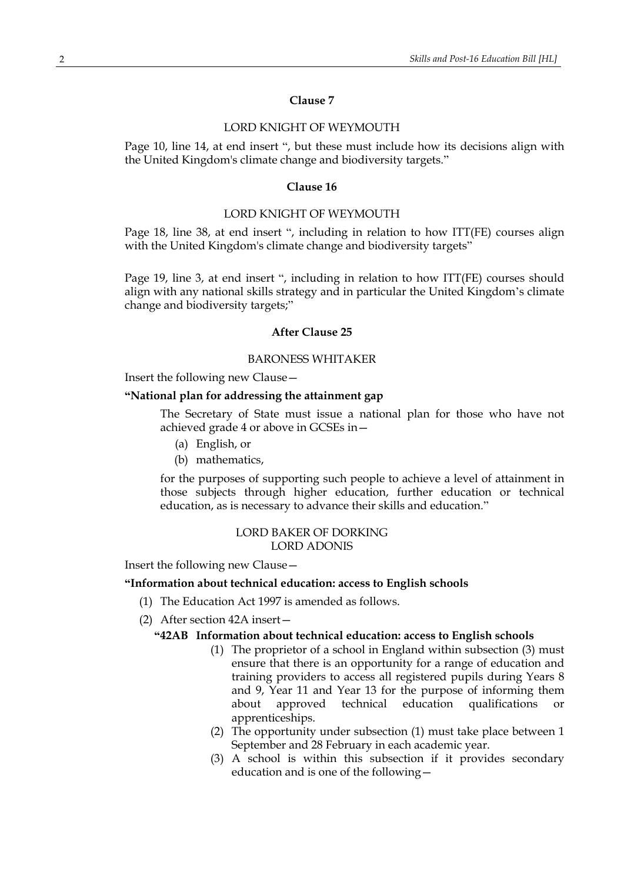### **Clause 7**

#### LORD KNIGHT OF WEYMOUTH

Page 10, line 14, at end insert ", but these must include how its decisions align with the United Kingdom's climate change and biodiversity targets."

#### **Clause 16**

#### LORD KNIGHT OF WEYMOUTH

Page 18, line 38, at end insert ", including in relation to how ITT(FE) courses align with the United Kingdom's climate change and biodiversity targets"

Page 19, line 3, at end insert ", including in relation to how ITT(FE) courses should align with any national skills strategy and in particular the United Kingdom's climate change and biodiversity targets;"

#### **After Clause 25**

#### BARONESS WHITAKER

Insert the following new Clause—

# **"National plan for addressing the attainment gap**

The Secretary of State must issue a national plan for those who have not achieved grade 4 or above in GCSEs in—

- (a) English, or
- (b) mathematics,

for the purposes of supporting such people to achieve a level of attainment in those subjects through higher education, further education or technical education, as is necessary to advance their skills and education."

#### LORD BAKER OF DORKING LORD ADONIS

Insert the following new Clause—

# **"Information about technical education: access to English schools**

- (1) The Education Act 1997 is amended as follows.
- (2) After section 42A insert—

## **"42AB Information about technical education: access to English schools**

- (1) The proprietor of a school in England within subsection (3) must ensure that there is an opportunity for a range of education and training providers to access all registered pupils during Years 8 and 9, Year 11 and Year 13 for the purpose of informing them about approved technical education qualifications or apprenticeships.
- (2) The opportunity under subsection (1) must take place between 1 September and 28 February in each academic year.
- (3) A school is within this subsection if it provides secondary education and is one of the following—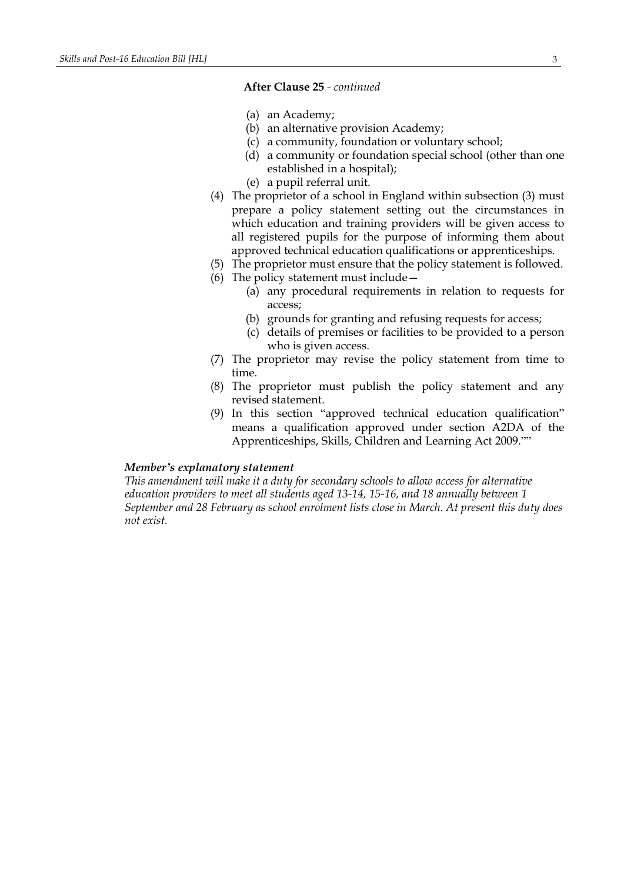## **After Clause 25** *- continued*

- (a) an Academy;
- (b) an alternative provision Academy;
- (c) a community, foundation or voluntary school;
- (d) a community or foundation special school (other than one established in a hospital);
- (e) a pupil referral unit.
- (4) The proprietor of a school in England within subsection (3) must prepare a policy statement setting out the circumstances in which education and training providers will be given access to all registered pupils for the purpose of informing them about approved technical education qualifications or apprenticeships.
- (5) The proprietor must ensure that the policy statement is followed.
- (6) The policy statement must include—
	- (a) any procedural requirements in relation to requests for access;
	- (b) grounds for granting and refusing requests for access;
	- (c) details of premises or facilities to be provided to a person who is given access.
- (7) The proprietor may revise the policy statement from time to time.
- (8) The proprietor must publish the policy statement and any revised statement.
- (9) In this section "approved technical education qualification" means a qualification approved under section A2DA of the Apprenticeships, Skills, Children and Learning Act 2009.""

# *Member's explanatory statement*

*This amendment will make it a duty for secondary schools to allow access for alternative education providers to meet all students aged 13-14, 15-16, and 18 annually between 1 September and 28 February as school enrolment lists close in March. At present this duty does not exist.*